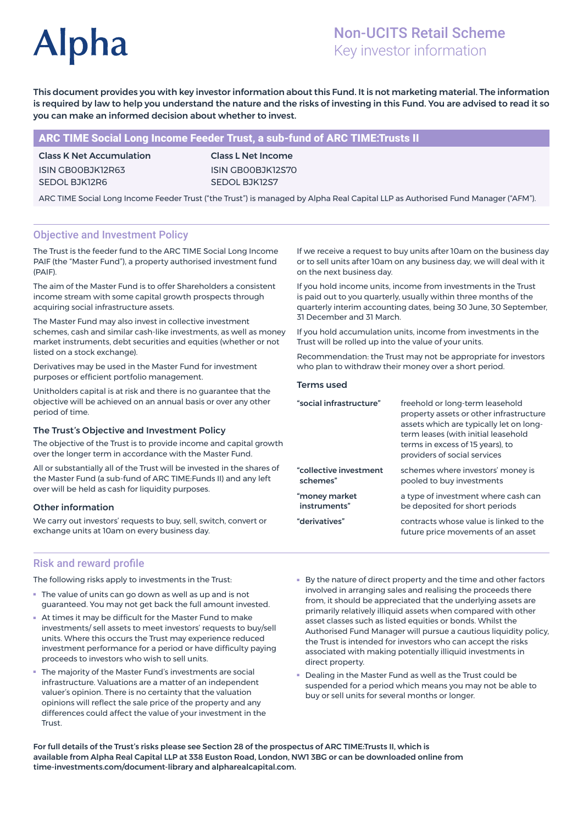# **Alpha**

# Non-UCITS Retail Scheme Key investor information

This document provides you with key investor information about this Fund. It is not marketing material. The information is required by law to help you understand the nature and the risks of investing in this Fund. You are advised to read it so you can make an informed decision about whether to invest.

# ARC TIME Social Long Income Feeder Trust, a sub-fund of ARC TIME:Trusts II

Class K Net Accumulation ISIN GB00BJK12R63 SEDOL BJK12R6

Class L Net Income ISIN GB00BJK12S70 SEDOL BJK12S7

ARC TIME Social Long Income Feeder Trust ("the Trust") is managed by Alpha Real Capital LLP as Authorised Fund Manager ("AFM").

# Objective and Investment Policy

The Trust is the feeder fund to the ARC TIME Social Long Income PAIF (the "Master Fund"), a property authorised investment fund (PAIF).

The aim of the Master Fund is to offer Shareholders a consistent income stream with some capital growth prospects through acquiring social infrastructure assets.

The Master Fund may also invest in collective investment schemes, cash and similar cash-like investments, as well as money market instruments, debt securities and equities (whether or not listed on a stock exchange).

Derivatives may be used in the Master Fund for investment purposes or efficient portfolio management.

Unitholders capital is at risk and there is no guarantee that the objective will be achieved on an annual basis or over any other period of time.

#### The Trust's Objective and Investment Policy

The objective of the Trust is to provide income and capital growth over the longer term in accordance with the Master Fund.

All or substantially all of the Trust will be invested in the shares of the Master Fund (a sub-fund of ARC TIME:Funds II) and any left over will be held as cash for liquidity purposes.

# Other information

We carry out investors' requests to buy, sell, switch, convert or exchange units at 10am on every business day.

If we receive a request to buy units after 10am on the business day or to sell units after 10am on any business day, we will deal with it on the next business day.

If you hold income units, income from investments in the Trust is paid out to you quarterly, usually within three months of the quarterly interim accounting dates, being 30 June, 30 September, 31 December and 31 March.

If you hold accumulation units, income from investments in the Trust will be rolled up into the value of your units.

Recommendation: the Trust may not be appropriate for investors who plan to withdraw their money over a short period.

#### Terms used

| "social infrastructure" | freehold or long-term leasehold<br>property assets or other infrastructure<br>assets which are typically let on long-<br>term leases (with initial leasehold<br>terms in excess of 15 years), to<br>providers of social services |
|-------------------------|----------------------------------------------------------------------------------------------------------------------------------------------------------------------------------------------------------------------------------|
| "collective investment  | schemes where investors' money is                                                                                                                                                                                                |
| schemes"                | pooled to buy investments                                                                                                                                                                                                        |
| "money market           | a type of investment where cash can                                                                                                                                                                                              |
| instruments"            | be deposited for short periods                                                                                                                                                                                                   |
| "derivatives"           | contracts whose value is linked to the<br>future price movements of an asset                                                                                                                                                     |

# Risk and reward profile

The following risks apply to investments in the Trust:

- The value of units can go down as well as up and is not guaranteed. You may not get back the full amount invested.
- At times it may be difficult for the Master Fund to make investments/ sell assets to meet investors' requests to buy/sell units. Where this occurs the Trust may experience reduced investment performance for a period or have difficulty paying proceeds to investors who wish to sell units.
- The majority of the Master Fund's investments are social infrastructure. Valuations are a matter of an independent valuer's opinion. There is no certainty that the valuation opinions will reflect the sale price of the property and any differences could affect the value of your investment in the Trust.
- By the nature of direct property and the time and other factors involved in arranging sales and realising the proceeds there from, it should be appreciated that the underlying assets are primarily relatively illiquid assets when compared with other asset classes such as listed equities or bonds. Whilst the Authorised Fund Manager will pursue a cautious liquidity policy, the Trust is intended for investors who can accept the risks associated with making potentially illiquid investments in direct property.
- Dealing in the Master Fund as well as the Trust could be suspended for a period which means you may not be able to buy or sell units for several months or longer.

For full details of the Trust's risks please see Section 28 of the prospectus of ARC TIME:Trusts II, which is available from Alpha Real Capital LLP at 338 Euston Road, London, NW1 3BG or can be downloaded online from time-investments.com/document-library and alpharealcapital.com.